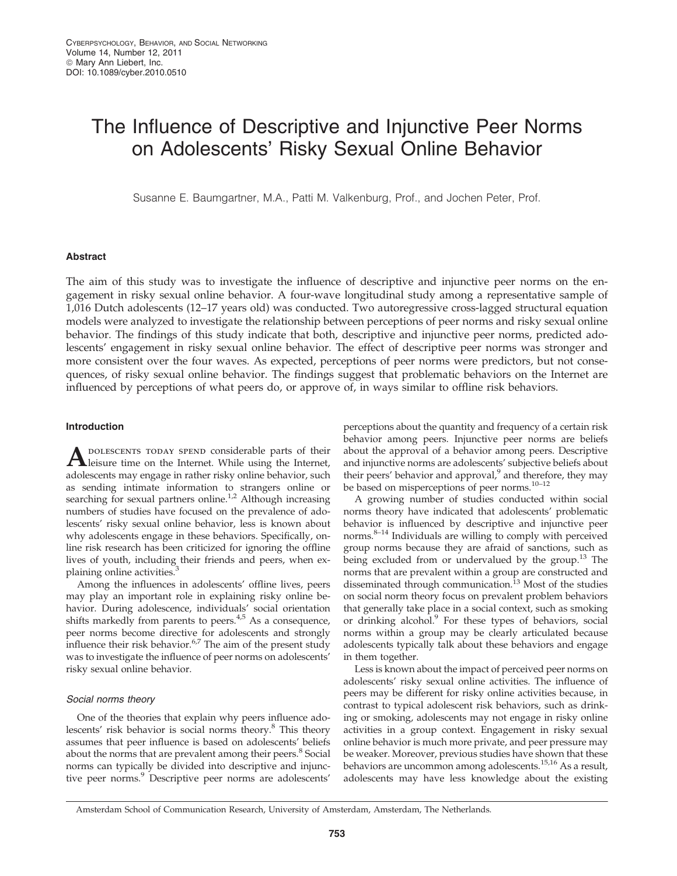# The Influence of Descriptive and Injunctive Peer Norms on Adolescents' Risky Sexual Online Behavior

Susanne E. Baumgartner, M.A., Patti M. Valkenburg, Prof., and Jochen Peter, Prof.

#### Abstract

The aim of this study was to investigate the influence of descriptive and injunctive peer norms on the engagement in risky sexual online behavior. A four-wave longitudinal study among a representative sample of 1,016 Dutch adolescents (12–17 years old) was conducted. Two autoregressive cross-lagged structural equation models were analyzed to investigate the relationship between perceptions of peer norms and risky sexual online behavior. The findings of this study indicate that both, descriptive and injunctive peer norms, predicted adolescents' engagement in risky sexual online behavior. The effect of descriptive peer norms was stronger and more consistent over the four waves. As expected, perceptions of peer norms were predictors, but not consequences, of risky sexual online behavior. The findings suggest that problematic behaviors on the Internet are influenced by perceptions of what peers do, or approve of, in ways similar to offline risk behaviors.

# Introduction

A DOLESCENTS TODAY SPEND considerable parts of their adolescents may engage in rather risky online behavior, such as sending intimate information to strangers online or searching for sexual partners online.<sup>1,2</sup> Although increasing numbers of studies have focused on the prevalence of adolescents' risky sexual online behavior, less is known about why adolescents engage in these behaviors. Specifically, online risk research has been criticized for ignoring the offline lives of youth, including their friends and peers, when explaining online activities.<sup>3</sup>

Among the influences in adolescents' offline lives, peers may play an important role in explaining risky online behavior. During adolescence, individuals' social orientation shifts markedly from parents to peers.<sup>4,5</sup> As a consequence, peer norms become directive for adolescents and strongly influence their risk behavior. $6.7$  The aim of the present study was to investigate the influence of peer norms on adolescents' risky sexual online behavior.

## Social norms theory

One of the theories that explain why peers influence adolescents' risk behavior is social norms theory.<sup>8</sup> This theory assumes that peer influence is based on adolescents' beliefs about the norms that are prevalent among their peers.<sup>8</sup> Social norms can typically be divided into descriptive and injunctive peer norms.<sup>9</sup> Descriptive peer norms are adolescents'

perceptions about the quantity and frequency of a certain risk behavior among peers. Injunctive peer norms are beliefs about the approval of a behavior among peers. Descriptive and injunctive norms are adolescents' subjective beliefs about their peers' behavior and approval, $9$  and therefore, they may be based on misperceptions of peer norms.<sup>10-12</sup>

A growing number of studies conducted within social norms theory have indicated that adolescents' problematic behavior is influenced by descriptive and injunctive peer norms.<sup>8–14</sup> Individuals are willing to comply with perceived group norms because they are afraid of sanctions, such as being excluded from or undervalued by the group. $^{13}$  The norms that are prevalent within a group are constructed and disseminated through communication.<sup>13</sup> Most of the studies on social norm theory focus on prevalent problem behaviors that generally take place in a social context, such as smoking or drinking alcohol.<sup>9</sup> For these types of behaviors, social norms within a group may be clearly articulated because adolescents typically talk about these behaviors and engage in them together.

Less is known about the impact of perceived peer norms on adolescents' risky sexual online activities. The influence of peers may be different for risky online activities because, in contrast to typical adolescent risk behaviors, such as drinking or smoking, adolescents may not engage in risky online activities in a group context. Engagement in risky sexual online behavior is much more private, and peer pressure may be weaker. Moreover, previous studies have shown that these behaviors are uncommon among adolescents.<sup>15,16</sup> As a result, adolescents may have less knowledge about the existing

Amsterdam School of Communication Research, University of Amsterdam, Amsterdam, The Netherlands.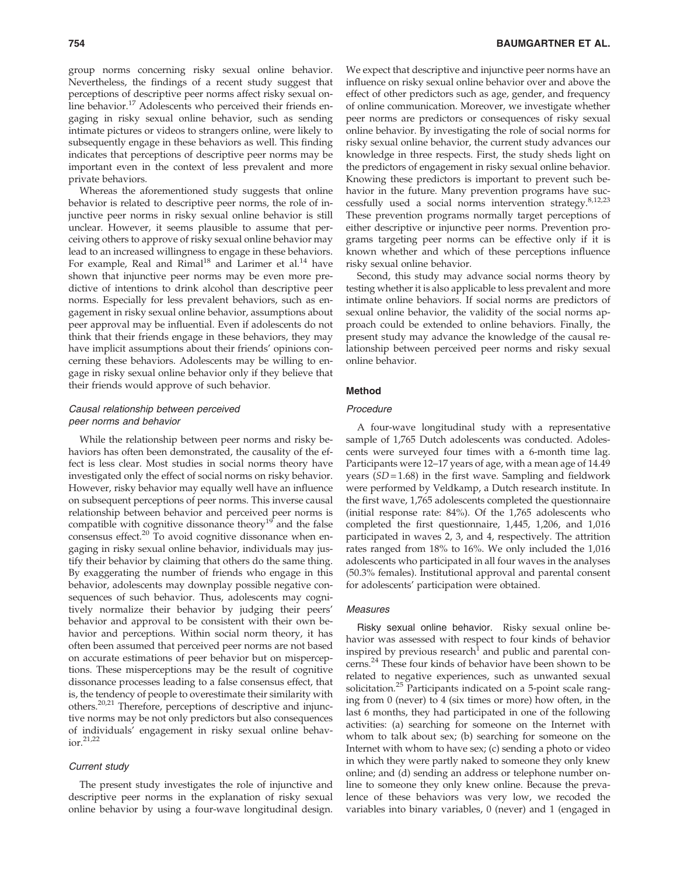group norms concerning risky sexual online behavior. Nevertheless, the findings of a recent study suggest that perceptions of descriptive peer norms affect risky sexual online behavior.<sup>17</sup> Adolescents who perceived their friends engaging in risky sexual online behavior, such as sending intimate pictures or videos to strangers online, were likely to subsequently engage in these behaviors as well. This finding indicates that perceptions of descriptive peer norms may be important even in the context of less prevalent and more private behaviors.

Whereas the aforementioned study suggests that online behavior is related to descriptive peer norms, the role of injunctive peer norms in risky sexual online behavior is still unclear. However, it seems plausible to assume that perceiving others to approve of risky sexual online behavior may lead to an increased willingness to engage in these behaviors. For example, Real and Rimal<sup>18</sup> and Larimer et al.<sup>14</sup> have shown that injunctive peer norms may be even more predictive of intentions to drink alcohol than descriptive peer norms. Especially for less prevalent behaviors, such as engagement in risky sexual online behavior, assumptions about peer approval may be influential. Even if adolescents do not think that their friends engage in these behaviors, they may have implicit assumptions about their friends' opinions concerning these behaviors. Adolescents may be willing to engage in risky sexual online behavior only if they believe that their friends would approve of such behavior.

# Causal relationship between perceived peer norms and behavior

While the relationship between peer norms and risky behaviors has often been demonstrated, the causality of the effect is less clear. Most studies in social norms theory have investigated only the effect of social norms on risky behavior. However, risky behavior may equally well have an influence on subsequent perceptions of peer norms. This inverse causal relationship between behavior and perceived peer norms is compatible with cognitive dissonance theory<sup>19</sup> and the false consensus effect. $20$  To avoid cognitive dissonance when engaging in risky sexual online behavior, individuals may justify their behavior by claiming that others do the same thing. By exaggerating the number of friends who engage in this behavior, adolescents may downplay possible negative consequences of such behavior. Thus, adolescents may cognitively normalize their behavior by judging their peers' behavior and approval to be consistent with their own behavior and perceptions. Within social norm theory, it has often been assumed that perceived peer norms are not based on accurate estimations of peer behavior but on misperceptions. These misperceptions may be the result of cognitive dissonance processes leading to a false consensus effect, that is, the tendency of people to overestimate their similarity with others.20,21 Therefore, perceptions of descriptive and injunctive norms may be not only predictors but also consequences of individuals' engagement in risky sexual online behavior.21,22

#### Current study

The present study investigates the role of injunctive and descriptive peer norms in the explanation of risky sexual online behavior by using a four-wave longitudinal design.

We expect that descriptive and injunctive peer norms have an influence on risky sexual online behavior over and above the effect of other predictors such as age, gender, and frequency of online communication. Moreover, we investigate whether peer norms are predictors or consequences of risky sexual online behavior. By investigating the role of social norms for risky sexual online behavior, the current study advances our knowledge in three respects. First, the study sheds light on the predictors of engagement in risky sexual online behavior. Knowing these predictors is important to prevent such behavior in the future. Many prevention programs have successfully used a social norms intervention strategy.8,12,23 These prevention programs normally target perceptions of either descriptive or injunctive peer norms. Prevention programs targeting peer norms can be effective only if it is known whether and which of these perceptions influence risky sexual online behavior.

Second, this study may advance social norms theory by testing whether it is also applicable to less prevalent and more intimate online behaviors. If social norms are predictors of sexual online behavior, the validity of the social norms approach could be extended to online behaviors. Finally, the present study may advance the knowledge of the causal relationship between perceived peer norms and risky sexual online behavior.

# Method

# Procedure

A four-wave longitudinal study with a representative sample of 1,765 Dutch adolescents was conducted. Adolescents were surveyed four times with a 6-month time lag. Participants were 12–17 years of age, with a mean age of 14.49 years  $(SD=1.68)$  in the first wave. Sampling and fieldwork were performed by Veldkamp, a Dutch research institute. In the first wave, 1,765 adolescents completed the questionnaire (initial response rate: 84%). Of the 1,765 adolescents who completed the first questionnaire, 1,445, 1,206, and 1,016 participated in waves 2, 3, and 4, respectively. The attrition rates ranged from 18% to 16%. We only included the 1,016 adolescents who participated in all four waves in the analyses (50.3% females). Institutional approval and parental consent for adolescents' participation were obtained.

#### Measures

Risky sexual online behavior. Risky sexual online behavior was assessed with respect to four kinds of behavior inspired by previous research<sup>1</sup> and public and parental concerns.<sup>24</sup> These four kinds of behavior have been shown to be related to negative experiences, such as unwanted sexual solicitation.<sup>25</sup> Participants indicated on a 5-point scale ranging from 0 (never) to 4 (six times or more) how often, in the last 6 months, they had participated in one of the following activities: (a) searching for someone on the Internet with whom to talk about sex; (b) searching for someone on the Internet with whom to have sex; (c) sending a photo or video in which they were partly naked to someone they only knew online; and (d) sending an address or telephone number online to someone they only knew online. Because the prevalence of these behaviors was very low, we recoded the variables into binary variables, 0 (never) and 1 (engaged in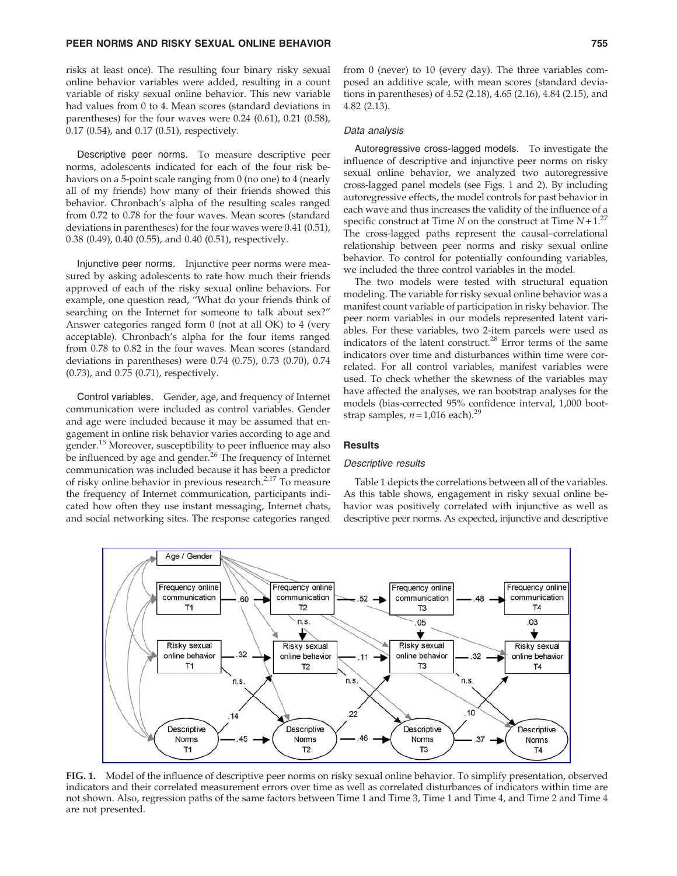# PEER NORMS AND RISKY SEXUAL ONLINE BEHAVIOR **The CONSTRUCT ON A 1999 SET AND R** 755

risks at least once). The resulting four binary risky sexual online behavior variables were added, resulting in a count variable of risky sexual online behavior. This new variable had values from 0 to 4. Mean scores (standard deviations in parentheses) for the four waves were 0.24 (0.61), 0.21 (0.58), 0.17 (0.54), and 0.17 (0.51), respectively.

Descriptive peer norms. To measure descriptive peer norms, adolescents indicated for each of the four risk behaviors on a 5-point scale ranging from 0 (no one) to 4 (nearly all of my friends) how many of their friends showed this behavior. Chronbach's alpha of the resulting scales ranged from 0.72 to 0.78 for the four waves. Mean scores (standard deviations in parentheses) for the four waves were 0.41 (0.51), 0.38 (0.49), 0.40 (0.55), and 0.40 (0.51), respectively.

Injunctive peer norms. Injunctive peer norms were measured by asking adolescents to rate how much their friends approved of each of the risky sexual online behaviors. For example, one question read, ''What do your friends think of searching on the Internet for someone to talk about sex?'' Answer categories ranged form 0 (not at all OK) to 4 (very acceptable). Chronbach's alpha for the four items ranged from 0.78 to 0.82 in the four waves. Mean scores (standard deviations in parentheses) were 0.74 (0.75), 0.73 (0.70), 0.74 (0.73), and 0.75 (0.71), respectively.

Control variables. Gender, age, and frequency of Internet communication were included as control variables. Gender and age were included because it may be assumed that engagement in online risk behavior varies according to age and gender.<sup>15</sup> Moreover, susceptibility to peer influence may also be influenced by age and gender.<sup>26</sup> The frequency of Internet communication was included because it has been a predictor of risky online behavior in previous research.<sup>2,17</sup> To measure the frequency of Internet communication, participants indicated how often they use instant messaging, Internet chats, and social networking sites. The response categories ranged

#### Data analysis

Autoregressive cross-lagged models. To investigate the influence of descriptive and injunctive peer norms on risky sexual online behavior, we analyzed two autoregressive cross-lagged panel models (see Figs. 1 and 2). By including autoregressive effects, the model controls for past behavior in each wave and thus increases the validity of the influence of a specific construct at Time N on the construct at Time  $N+1$ .<sup>27</sup> The cross-lagged paths represent the causal–correlational relationship between peer norms and risky sexual online behavior. To control for potentially confounding variables, we included the three control variables in the model.

The two models were tested with structural equation modeling. The variable for risky sexual online behavior was a manifest count variable of participation in risky behavior. The peer norm variables in our models represented latent variables. For these variables, two 2-item parcels were used as indicators of the latent construct.<sup>28</sup> Error terms of the same indicators over time and disturbances within time were correlated. For all control variables, manifest variables were used. To check whether the skewness of the variables may have affected the analyses, we ran bootstrap analyses for the models (bias-corrected 95% confidence interval, 1,000 bootstrap samples,  $n = 1,016$  each).<sup>29</sup>

# **Results**

#### Descriptive results

Table 1 depicts the correlations between all of the variables. As this table shows, engagement in risky sexual online behavior was positively correlated with injunctive as well as descriptive peer norms. As expected, injunctive and descriptive



FIG. 1. Model of the influence of descriptive peer norms on risky sexual online behavior. To simplify presentation, observed indicators and their correlated measurement errors over time as well as correlated disturbances of indicators within time are not shown. Also, regression paths of the same factors between Time 1 and Time 3, Time 1 and Time 4, and Time 2 and Time 4 are not presented.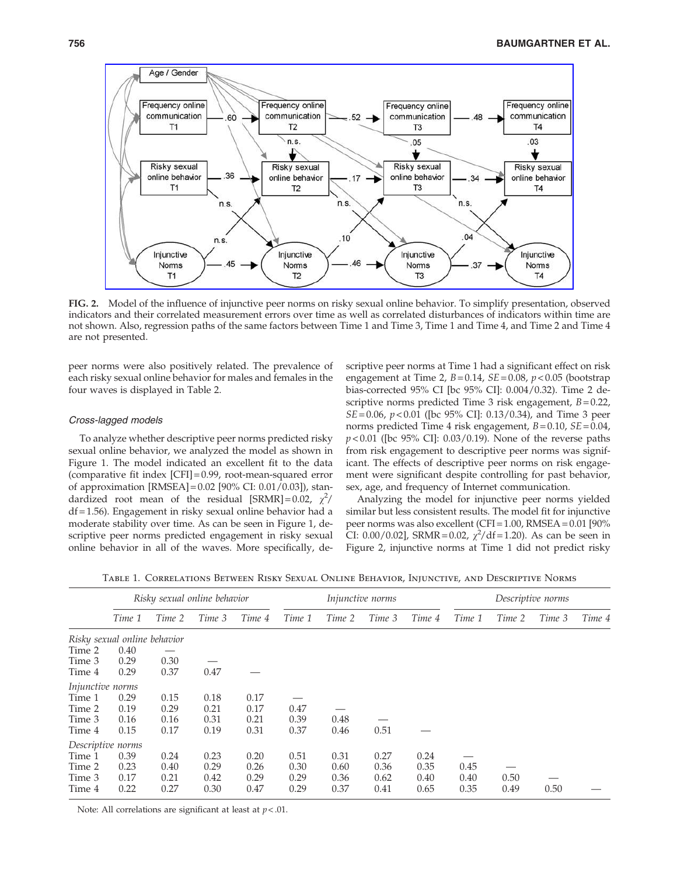

FIG. 2. Model of the influence of injunctive peer norms on risky sexual online behavior. To simplify presentation, observed indicators and their correlated measurement errors over time as well as correlated disturbances of indicators within time are not shown. Also, regression paths of the same factors between Time 1 and Time 3, Time 1 and Time 4, and Time 2 and Time 4 are not presented.

peer norms were also positively related. The prevalence of each risky sexual online behavior for males and females in the four waves is displayed in Table 2.

# Cross-lagged models

To analyze whether descriptive peer norms predicted risky sexual online behavior, we analyzed the model as shown in Figure 1. The model indicated an excellent fit to the data (comparative fit index [CFI] = 0.99, root-mean-squared error of approximation [RMSEA] = 0.02 [90% CI: 0.01/0.03]), standardized root mean of the residual [SRMR] = 0.02,  $\chi^2$ / df = 1.56). Engagement in risky sexual online behavior had a moderate stability over time. As can be seen in Figure 1, descriptive peer norms predicted engagement in risky sexual online behavior in all of the waves. More specifically, descriptive peer norms at Time 1 had a significant effect on risk engagement at Time 2,  $B = 0.14$ ,  $SE = 0.08$ ,  $p < 0.05$  (bootstrap bias-corrected 95% CI [bc 95% CI]: 0.004/0.32). Time 2 descriptive norms predicted Time 3 risk engagement,  $B = 0.22$ ,  $SE = 0.06$ ,  $p < 0.01$  ([bc 95% CI]: 0.13/0.34), and Time 3 peer norms predicted Time 4 risk engagement,  $B = 0.10$ ,  $SE = 0.04$ ,  $p < 0.01$  ([bc 95% CI]:  $0.03/0.19$ ). None of the reverse paths from risk engagement to descriptive peer norms was significant. The effects of descriptive peer norms on risk engagement were significant despite controlling for past behavior, sex, age, and frequency of Internet communication.

Analyzing the model for injunctive peer norms yielded similar but less consistent results. The model fit for injunctive peer norms was also excellent (CFI = 1.00, RMSEA = 0.01 [90% CI:  $0.00/0.02$ ], SRMR =  $0.02$ ,  $\chi^2$ /df = 1.20). As can be seen in Figure 2, injunctive norms at Time 1 did not predict risky

Table 1. Correlations Between Risky Sexual Online Behavior, Injunctive, and Descriptive Norms

|                  | Risky sexual online behavior |        |        |        | Injunctive norms |        |        |        | Descriptive norms |        |        |        |
|------------------|------------------------------|--------|--------|--------|------------------|--------|--------|--------|-------------------|--------|--------|--------|
|                  | Time 1                       | Time 2 | Time 3 | Time 4 | Time 1           | Time 2 | Time 3 | Time 4 | Time 1            | Time 2 | Time 3 | Time 4 |
|                  | Risky sexual online behavior |        |        |        |                  |        |        |        |                   |        |        |        |
| Time 2           | 0.40                         |        |        |        |                  |        |        |        |                   |        |        |        |
| Time 3           | 0.29                         | 0.30   |        |        |                  |        |        |        |                   |        |        |        |
| Time 4           | 0.29                         | 0.37   | 0.47   |        |                  |        |        |        |                   |        |        |        |
| Injunctive norms |                              |        |        |        |                  |        |        |        |                   |        |        |        |
| Time 1           | 0.29                         | 0.15   | 0.18   | 0.17   |                  |        |        |        |                   |        |        |        |
| Time 2           | 0.19                         | 0.29   | 0.21   | 0.17   | 0.47             |        |        |        |                   |        |        |        |
| Time 3           | 0.16                         | 0.16   | 0.31   | 0.21   | 0.39             | 0.48   |        |        |                   |        |        |        |
| Time 4           | 0.15                         | 0.17   | 0.19   | 0.31   | 0.37             | 0.46   | 0.51   |        |                   |        |        |        |
|                  | Descriptive norms            |        |        |        |                  |        |        |        |                   |        |        |        |
| Time 1           | 0.39                         | 0.24   | 0.23   | 0.20   | 0.51             | 0.31   | 0.27   | 0.24   |                   |        |        |        |
| Time 2           | 0.23                         | 0.40   | 0.29   | 0.26   | 0.30             | 0.60   | 0.36   | 0.35   | 0.45              |        |        |        |
| Time 3           | 0.17                         | 0.21   | 0.42   | 0.29   | 0.29             | 0.36   | 0.62   | 0.40   | 0.40              | 0.50   |        |        |
| Time 4           | 0.22                         | 0.27   | 0.30   | 0.47   | 0.29             | 0.37   | 0.41   | 0.65   | 0.35              | 0.49   | 0.50   |        |

Note: All correlations are significant at least at  $p < .01$ .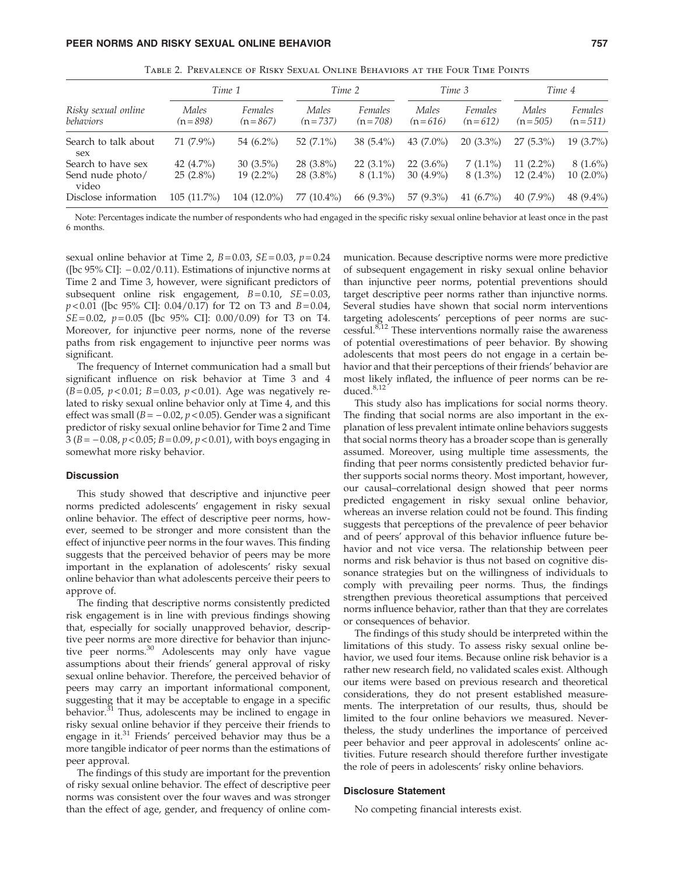Table 2. Prevalence of Risky Sexual Online Behaviors at the Four Time Points

|                                  |                    | Time 1                      | Time 2             |                             |                    | Time 3               | Time 4             |                             |
|----------------------------------|--------------------|-----------------------------|--------------------|-----------------------------|--------------------|----------------------|--------------------|-----------------------------|
| Risky sexual online<br>behaviors | Males<br>$(n=898)$ | <b>Females</b><br>$(n=867)$ | Males<br>$(n=737)$ | <b>Females</b><br>$(n=708)$ | Males<br>$(n=616)$ | Females<br>$(n=612)$ | Males<br>$(n=505)$ | <i>Females</i><br>$(n=511)$ |
| Search to talk about<br>sex      | 71 (7.9%)          | 54 $(6.2\%)$                | 52 $(7.1\%)$       | 38 $(5.4\%)$                | 43 $(7.0\%)$       | $20(3.3\%)$          | $27(5.3\%)$        | $19(3.7\%)$                 |
| Search to have sex               | 42 $(4.7\%)$       | $30(3.5\%)$                 | $28(3.8\%)$        | $22(3.1\%)$                 | $22(3.6\%)$        | $7(1.1\%)$           | 11 $(2.2\%)$       | $8(1.6\%)$                  |
| Send nude photo/<br>video        | $25(2.8\%)$        | $19(2.2\%)$                 | $28(3.8\%)$        | $8(1.1\%)$                  | $30(4.9\%)$        | $8(1.3\%)$           | $12(2.4\%)$        | $10(2.0\%)$                 |
| Disclose information             | 105 (11.7%)        | 104 (12.0%)                 | 77 (10.4%)         | 66 $(9.3\%)$                | 57 $(9.3\%)$       | 41 $(6.7\%)$         | 40 $(7.9\%)$       | 48 $(9.4\%)$                |

Note: Percentages indicate the number of respondents who had engaged in the specific risky sexual online behavior at least once in the past 6 months.

sexual online behavior at Time 2,  $B=0.03$ ,  $SE=0.03$ ,  $p=0.24$ ([bc  $95\%$  CI]:  $-0.02/0.11$ ). Estimations of injunctive norms at Time 2 and Time 3, however, were significant predictors of subsequent online risk engagement,  $B = 0.10$ ,  $SE = 0.03$ ,  $p < 0.01$  ([bc 95% CI]: 0.04/0.17) for T2 on T3 and  $B = 0.04$ ,  $SE = 0.02$ ,  $p = 0.05$  ([bc 95% CI]: 0.00/0.09) for T3 on T4. Moreover, for injunctive peer norms, none of the reverse paths from risk engagement to injunctive peer norms was significant.

The frequency of Internet communication had a small but significant influence on risk behavior at Time 3 and 4  $(B=0.05, p<0.01; B=0.03, p<0.01)$ . Age was negatively related to risky sexual online behavior only at Time 4, and this effect was small  $(B = -0.02, p < 0.05)$ . Gender was a significant predictor of risky sexual online behavior for Time 2 and Time  $3 (B = -0.08, p < 0.05; B = 0.09, p < 0.01)$ , with boys engaging in somewhat more risky behavior.

#### Discussion

This study showed that descriptive and injunctive peer norms predicted adolescents' engagement in risky sexual online behavior. The effect of descriptive peer norms, however, seemed to be stronger and more consistent than the effect of injunctive peer norms in the four waves. This finding suggests that the perceived behavior of peers may be more important in the explanation of adolescents' risky sexual online behavior than what adolescents perceive their peers to approve of.

The finding that descriptive norms consistently predicted risk engagement is in line with previous findings showing that, especially for socially unapproved behavior, descriptive peer norms are more directive for behavior than injunctive peer norms.<sup>30</sup> Adolescents may only have vague assumptions about their friends' general approval of risky sexual online behavior. Therefore, the perceived behavior of peers may carry an important informational component, suggesting that it may be acceptable to engage in a specific behavior.<sup>31</sup> Thus, adolescents may be inclined to engage in risky sexual online behavior if they perceive their friends to engage in it. $31$  Friends' perceived behavior may thus be a more tangible indicator of peer norms than the estimations of peer approval.

The findings of this study are important for the prevention of risky sexual online behavior. The effect of descriptive peer norms was consistent over the four waves and was stronger than the effect of age, gender, and frequency of online communication. Because descriptive norms were more predictive of subsequent engagement in risky sexual online behavior than injunctive peer norms, potential preventions should target descriptive peer norms rather than injunctive norms. Several studies have shown that social norm interventions targeting adolescents' perceptions of peer norms are successful.8,12 These interventions normally raise the awareness of potential overestimations of peer behavior. By showing adolescents that most peers do not engage in a certain behavior and that their perceptions of their friends' behavior are most likely inflated, the influence of peer norms can be re- $\mathrm{duced.}^{8,12}$ 

This study also has implications for social norms theory. The finding that social norms are also important in the explanation of less prevalent intimate online behaviors suggests that social norms theory has a broader scope than is generally assumed. Moreover, using multiple time assessments, the finding that peer norms consistently predicted behavior further supports social norms theory. Most important, however, our causal–correlational design showed that peer norms predicted engagement in risky sexual online behavior, whereas an inverse relation could not be found. This finding suggests that perceptions of the prevalence of peer behavior and of peers' approval of this behavior influence future behavior and not vice versa. The relationship between peer norms and risk behavior is thus not based on cognitive dissonance strategies but on the willingness of individuals to comply with prevailing peer norms. Thus, the findings strengthen previous theoretical assumptions that perceived norms influence behavior, rather than that they are correlates or consequences of behavior.

The findings of this study should be interpreted within the limitations of this study. To assess risky sexual online behavior, we used four items. Because online risk behavior is a rather new research field, no validated scales exist. Although our items were based on previous research and theoretical considerations, they do not present established measurements. The interpretation of our results, thus, should be limited to the four online behaviors we measured. Nevertheless, the study underlines the importance of perceived peer behavior and peer approval in adolescents' online activities. Future research should therefore further investigate the role of peers in adolescents' risky online behaviors.

#### Disclosure Statement

No competing financial interests exist.